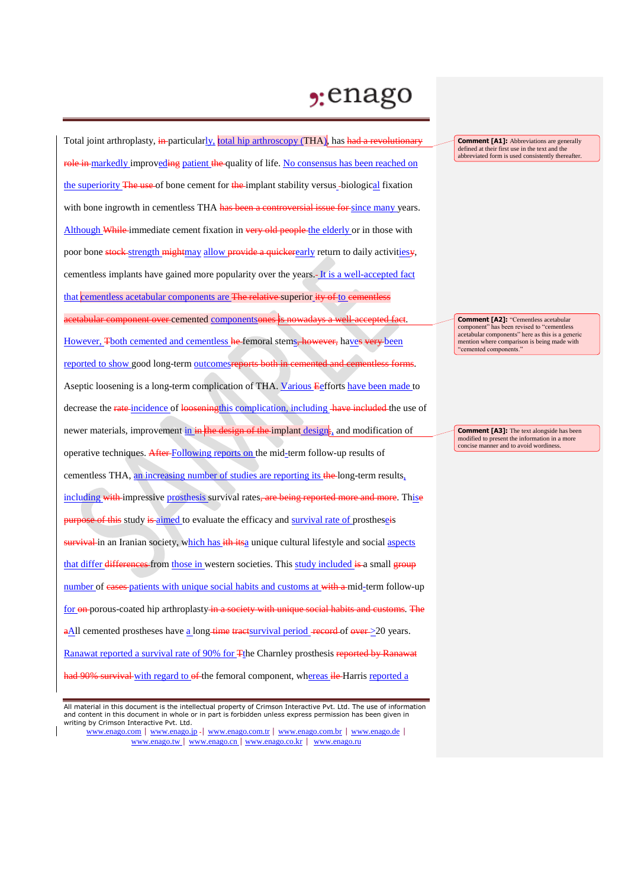## $2:$ enago

Total joint arthroplasty, in-particularly, total hip arthroscopy (THA), has had a revolutionary role in markedly improveding patient the quality of life. No consensus has been reached on the superiority The use of bone cement for the implant stability versus -biological fixation with bone ingrowth in cementless THA has been a controversial issue for since many years. Although While immediate cement fixation in very old people the elderly or in those with poor bone stock strength mightmay allow provide a quickerearly return to daily activities. cementless implants have gained more popularity over the years. It is a well-accepted fact that cementless acetabular components are <del>The relative</del>-superior ity of to eementless acetabular component over cemented componentsones is nowadays a well-accepted fact. However, Tboth cemented and cementless he femoral stems, however, haves very been reported to show good long-term outcomesreports both in cemented and cementless forms. Aseptic loosening is a long-term complication of THA. Various Eefforts have been made to decrease the rate incidence of looseningthis complication, including have included the use of newer materials, improvement in in the design of the implant design<sub>i</sub>, and modification of operative techniques. After Following reports on the mid-term follow-up results of cementless THA, an increasing number of studies are reporting its the long-term results, including with impressive prosthesis survival rates, are being reported more and more. Thise bse of this study is aimed to evaluate the efficacy and survival rate of prostheseis survival in an Iranian society, which has ith itsa unique cultural lifestyle and social aspects that differ differences from those in western societies. This study included is a small group number of cases patients with unique social habits and customs at with a mid-term follow-up for on porous-coated hip arthroplasty in a society with unique social habits and customs. The  $\alpha$ All cemented prostheses have a long-time tractsurvival period -record of over >20 years. Ranawat reported a survival rate of 90% for Tthe Charnley prosthesis reported by Ranawat <del>ad 90% survival </del>with regard to <del>of </del>the femoral component, whereas ile Harris reported a

www.enago.com | www.enago.jp - | www.enago.com.tr | www.enago.com.br | www.enago.de | www.enago.tw | www.enago.cn | www.enago.co.kr | www.enago.ru

**Comment [A1]:** Abbreviations are generally defined at their first use in the text and the abbreviated form is used consistently thereafter.

**Comment [A2]:** "Cementless acetabular component" has been revised to "cementless acetabular components" here as this is a generic mention where comparison is being made with "cemented components."

**Comment [A3]:** The text alongside has been modified to present the information in a more concise manner and to avoid wordiness.

All material in this document is the intellectual property of Crimson Interactive Pvt. Ltd. The use of information and content in this document in whole or in part is forbidden unless express permission has been given in writing by Crimson Interactive Pvt. Ltd.